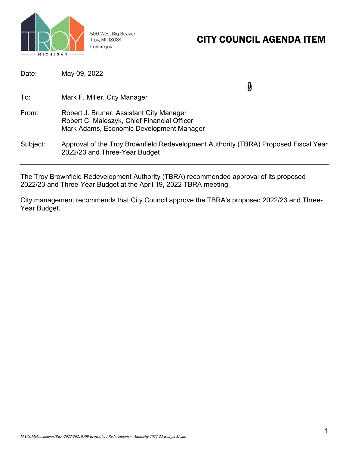

500 West Big Beaver Troy, MI 48084 troymi.gov

## CITY COUNCIL AGENDA ITEM

| Date:    | May 09, 2022                                                                                                                        |
|----------|-------------------------------------------------------------------------------------------------------------------------------------|
| To:      | Mark F. Miller, City Manager                                                                                                        |
| From:    | Robert J. Bruner, Assistant City Manager<br>Robert C. Maleszyk, Chief Financial Officer<br>Mark Adams, Economic Development Manager |
| Subject: | Approval of the Troy Brownfield Redevelopment Authority (TBRA) Proposed Fiscal Year<br>2022/23 and Three-Year Budget                |

The Troy Brownfield Redevelopment Authority (TBRA) recommended approval of its proposed 2022/23 and Three-Year Budget at the April 19, 2022 TBRA meeting.

City management recommends that City Council approve the TBRA's proposed 2022/23 and Three-Year Budget.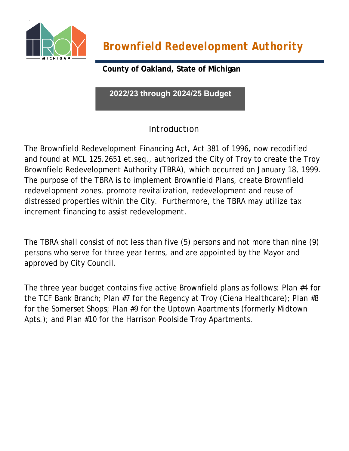

*Brownfield Redevelopment Authority*

**County of Oakland, State of Michigan**

**2022/23 through 2024/25 Budget**

### **Introduction**

The Brownfield Redevelopment Financing Act, Act 381 of 1996, now recodified and found at MCL 125.2651 et.seq., authorized the City of Troy to create the Troy Brownfield Redevelopment Authority (TBRA), which occurred on January 18, 1999. The purpose of the TBRA is to implement Brownfield Plans, create Brownfield redevelopment zones, promote revitalization, redevelopment and reuse of distressed properties within the City. Furthermore, the TBRA may utilize tax increment financing to assist redevelopment.

The TBRA shall consist of not less than five (5) persons and not more than nine (9) persons who serve for three year terms, and are appointed by the Mayor and approved by City Council.

The three year budget contains five active Brownfield plans as follows: Plan #4 for the TCF Bank Branch; Plan #7 for the Regency at Troy (Ciena Healthcare); Plan #8 for the Somerset Shops; Plan #9 for the Uptown Apartments (formerly Midtown Apts.); and Plan #10 for the Harrison Poolside Troy Apartments.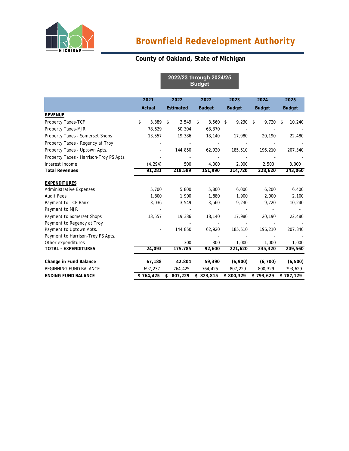

#### **County of Oakland, State of Michigan**

**2022/23 through 2024/25 Budget**

|                                         | 2021        |    | 2022             |    | 2022          | 2023          | 2024          | 2025          |
|-----------------------------------------|-------------|----|------------------|----|---------------|---------------|---------------|---------------|
|                                         | Actual      |    | <b>Estimated</b> |    | <b>Budget</b> | <b>Budget</b> | <b>Budget</b> | <b>Budget</b> |
| <b>REVENUE</b>                          |             |    |                  |    |               |               |               |               |
| Property Taxes-TCF                      | \$<br>3,389 | \$ | 3,549            | \$ | 3,560         | 9,230<br>\$   | 9,720<br>\$   | 10,240<br>\$  |
| Property Taxes-MJR                      | 78,629      |    | 50,304           |    | 63,370        |               |               |               |
| Property Taxes - Somerset Shops         | 13,557      |    | 19,386           |    | 18,140        | 17,980        | 20,190        | 22,480        |
| Property Taxes - Regency at Troy        |             |    |                  |    |               |               |               |               |
| Property Taxes - Uptown Apts.           |             |    | 144,850          |    | 62,920        | 185,510       | 196,210       | 207,340       |
| Property Taxes - Harrison-Troy PS Apts. |             |    |                  |    |               |               |               |               |
| Interest Income                         | (4, 294)    |    | 500              |    | 4,000         | 2,000         | 2,500         | 3,000         |
| <b>Total Revenues</b>                   | 91,281      |    | 218,589          |    | 151,990       | 214,720       | 228,620       | 243,060       |
| <b>EXPENDITURES</b>                     |             |    |                  |    |               |               |               |               |
| <b>Administrative Expenses</b>          | 5,700       |    | 5,800            |    | 5,800         | 6,000         | 6,200         | 6,400         |
| <b>Audit Fees</b>                       | 1,800       |    | 1,900            |    | 1,880         | 1,900         | 2,000         | 2,100         |
| Payment to TCF Bank                     | 3,036       |    | 3,549            |    | 3,560         | 9,230         | 9,720         | 10,240        |
| Payment to MJR                          |             |    |                  |    |               |               |               |               |
| Payment to Somerset Shops               | 13,557      |    | 19,386           |    | 18,140        | 17,980        | 20,190        | 22,480        |
| Payment to Regency at Troy              |             |    |                  |    |               |               |               |               |
| Payment to Uptown Apts.                 |             |    | 144,850          |    | 62,920        | 185,510       | 196,210       | 207,340       |
| Payment to Harrison-Troy PS Apts.       |             |    |                  |    |               |               |               |               |
| Other expenditures                      |             |    | 300              |    | 300           | 1,000         | 1,000         | 1,000         |
| TOTAL - EXPENDITURES                    | 24,093      |    | 175,785          |    | 92,600        | 221,620       | 235,320       | 249,560       |
| Change in Fund Balance                  | 67,188      |    | 42,804           |    | 59,390        | (6,900)       | (6,700)       | (6, 500)      |
| <b>BEGINNING FUND BALANCE</b>           | 697,237     |    | 764,425          |    | 764,425       | 807,229       | 800,329       | 793,629       |
| <b>ENDING FUND BALANCE</b>              | \$764,425   | \$ | 807,229          | \$ | 823,815       | \$800,329     | \$793,629     | \$787,129     |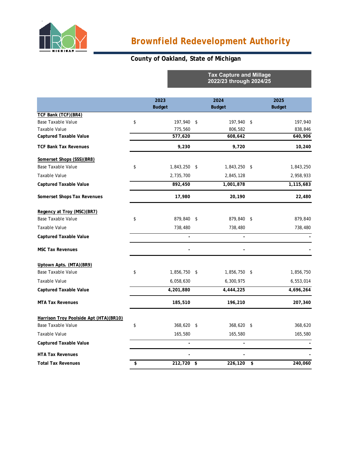

# *Brownfield Redevelopment Authority*

**Tax Capture and Millage**

### **County of Oakland, State of Michigan**

|                                        |                    | 2022/23 through 2024/25 |                |      |               |
|----------------------------------------|--------------------|-------------------------|----------------|------|---------------|
|                                        | 2023               |                         | 2024           |      | 2025          |
|                                        | <b>Budget</b>      |                         | <b>Budget</b>  |      | <b>Budget</b> |
| TCF Bank (TCF)(BR4)                    |                    |                         |                |      |               |
| <b>Base Taxable Value</b>              | \$<br>197,940      | \$                      | 197,940        | \$   | 197,940       |
| Taxable Value                          | 775,560            |                         | 806,582        |      | 838,846       |
| <b>Captured Taxable Value</b>          | 577,620            |                         | 608,642        |      | 640,906       |
| <b>TCF Bank Tax Revenues</b>           | 9,230              |                         | 9,720          |      | 10,240        |
| Somerset Shops (SSS)(BR8)              |                    |                         |                |      |               |
| <b>Base Taxable Value</b>              | \$<br>1,843,250    | \$                      | 1,843,250      | - \$ | 1,843,250     |
| <b>Taxable Value</b>                   | 2,735,700          |                         | 2,845,128      |      | 2,958,933     |
| <b>Captured Taxable Value</b>          | 892,450            |                         | 1,001,878      |      | 1,115,683     |
| Somerset Shops Tax Revenues            | 17,980             |                         | 20,190         |      | 22,480        |
| Regency at Troy (MSC)(BR7)             |                    |                         |                |      |               |
| <b>Base Taxable Value</b>              | \$<br>879,840      | - \$                    | 879,840        | - \$ | 879,840       |
| Taxable Value                          | 738,480            |                         | 738,480        |      | 738,480       |
| <b>Captured Taxable Value</b>          |                    |                         | $\overline{a}$ |      |               |
| <b>MSC Tax Revenues</b>                |                    |                         |                |      |               |
| Uptown Apts. (MTA)(BR9)                |                    |                         |                |      |               |
| <b>Base Taxable Value</b>              | \$<br>1,856,750 \$ |                         | 1,856,750 \$   |      | 1,856,750     |
| Taxable Value                          | 6,058,630          |                         | 6,300,975      |      | 6,553,014     |
| <b>Captured Taxable Value</b>          | 4,201,880          |                         | 4,444,225      |      | 4,696,264     |
| <b>MTA Tax Revenues</b>                | 185,510            |                         | 196,210        |      | 207,340       |
| Harrison Troy Poolside Apt (HTA)(BR10) |                    |                         |                |      |               |
| <b>Base Taxable Value</b>              | \$<br>368,620 \$   |                         | 368,620 \$     |      | 368,620       |
| Taxable Value                          | 165,580            |                         | 165,580        |      | 165,580       |
| <b>Captured Taxable Value</b>          |                    |                         | Ĭ.             |      |               |
| <b>HTA Tax Revenues</b>                |                    |                         |                |      |               |
| <b>Total Tax Revenues</b>              | \$<br>212,720 \$   |                         | 226,120        | \$   | 240,060       |